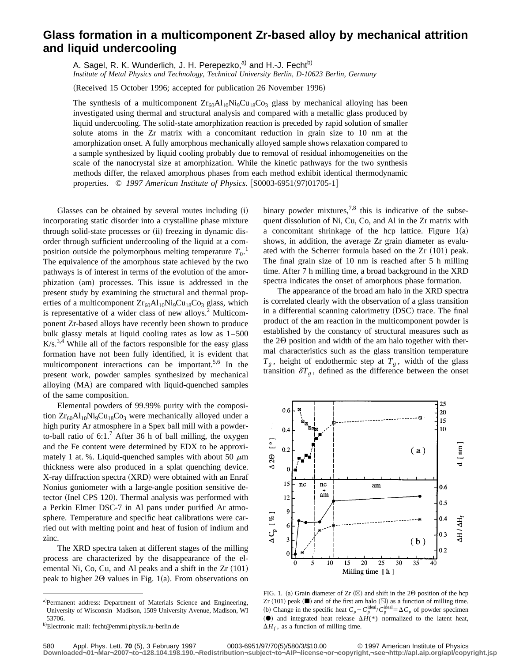## **Glass formation in a multicomponent Zr-based alloy by mechanical attrition and liquid undercooling**

A. Sagel, R. K. Wunderlich, J. H. Perepezko,<sup>a)</sup> and H.-J. Fecht<sup>b)</sup> *Institute of Metal Physics and Technology, Technical University Berlin, D-10623 Berlin, Germany*

(Received 15 October 1996; accepted for publication 26 November 1996)

The synthesis of a multicomponent  $Zr_{60}Al_{10}Ni_{9}Cu_{18}Co_{3}$  glass by mechanical alloying has been investigated using thermal and structural analysis and compared with a metallic glass produced by liquid undercooling. The solid-state amorphization reaction is preceded by rapid solution of smaller solute atoms in the Zr matrix with a concomitant reduction in grain size to 10 nm at the amorphization onset. A fully amorphous mechanically alloyed sample shows relaxation compared to a sample synthesized by liquid cooling probably due to removal of residual inhomogeneities on the scale of the nanocrystal size at amorphization. While the kinetic pathways for the two synthesis methods differ, the relaxed amorphous phases from each method exhibit identical thermodynamic properties. © 1997 American Institute of Physics. [S0003-6951(97)01705-1]

Glasses can be obtained by several routes including  $(i)$ incorporating static disorder into a crystalline phase mixture through solid-state processes or (ii) freezing in dynamic disorder through sufficient undercooling of the liquid at a composition outside the polymorphous melting temperature  $T_0$ .<sup>1</sup> The equivalence of the amorphous state achieved by the two pathways is of interest in terms of the evolution of the amorphization (am) processes. This issue is addressed in the present study by examining the structural and thermal properties of a multicomponent  $Zr_{60}Al_{10}Ni_9Cu_{18}Co_3$  glass, which is representative of a wider class of new alloys.<sup>2</sup> Multicomponent Zr-based alloys have recently been shown to produce bulk glassy metals at liquid cooling rates as low as 1–500  $K/s$ <sup>3,4</sup> While all of the factors responsible for the easy glass formation have not been fully identified, it is evident that multicomponent interactions can be important.<sup>5,6</sup> In the present work, powder samples synthesized by mechanical alloying (MA) are compared with liquid-quenched samples of the same composition.

Elemental powders of 99.99% purity with the composition  $Zr_{60}Al_{10}Ni_9Cu_{18}Co_3$  were mechanically alloyed under a high purity Ar atmosphere in a Spex ball mill with a powderto-ball ratio of  $6:1$ .<sup>7</sup> After 36 h of ball milling, the oxygen and the Fe content were determined by EDX to be approximately 1 at. %. Liquid-quenched samples with about 50  $\mu$ m thickness were also produced in a splat quenching device. X-ray diffraction spectra (XRD) were obtained with an Enraf Nonius goniometer with a large-angle position sensitive detector (Inel CPS 120). Thermal analysis was performed with a Perkin Elmer DSC-7 in Al pans under purified Ar atmosphere. Temperature and specific heat calibrations were carried out with melting point and heat of fusion of indium and zinc.

The XRD spectra taken at different stages of the milling process are characterized by the disappearance of the elemental Ni, Co, Cu, and Al peaks and a shift in the  $Zr~(101)$ peak to higher  $2\Theta$  values in Fig. 1(a). From observations on binary powder mixtures,<sup>7,8</sup> this is indicative of the subsequent dissolution of Ni, Cu, Co, and Al in the Zr matrix with a concomitant shrinkage of the hcp lattice. Figure  $1(a)$ shows, in addition, the average Zr grain diameter as evaluated with the Scherrer formula based on the  $Zr~(101)$  peak. The final grain size of 10 nm is reached after 5 h milling time. After 7 h milling time, a broad background in the XRD spectra indicates the onset of amorphous phase formation.

The appearance of the broad am halo in the XRD spectra is correlated clearly with the observation of a glass transition in a differential scanning calorimetry (DSC) trace. The final product of the am reaction in the multicomponent powder is established by the constancy of structural measures such as the  $2\Theta$  position and width of the am halo together with thermal characteristics such as the glass transition temperature  $T_g$ , height of endothermic step at  $T_g$ , width of the glass transition  $\delta T_g$ , defined as the difference between the onset



FIG. 1. (a) Grain diameter of Zr  $(\boxtimes)$  and shift in the 20 position of the hcp Zr  $(101)$  peak  $($ **|** $\blacksquare$ ) and of the first am halo  $($  $\boxtimes$ ) as a function of milling time. (b) Change in the specific heat  $C_p - C_p^{\text{ideal}}/C_p^{\text{ideal}} = \Delta C_p$  of powder specimen  $(•)$  and integrated heat release  $\Delta H$ <sup>(\*)</sup> normalized to the latent heat,  $\Delta H_f$ , as a function of milling time.

a)Permanent address: Department of Materials Science and Engineering, University of Wisconsin–Madison, 1509 University Avenue, Madison, WI 53706.

<sup>&</sup>lt;sup>b)</sup>Electronic mail: fecht@emmi.physik.tu-berlin.de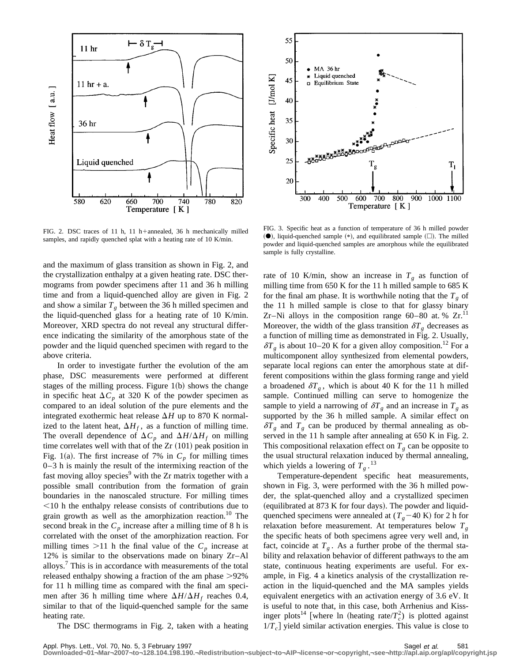

FIG. 2. DSC traces of 11 h, 11 h+annealed, 36 h mechanically milled samples, and rapidly quenched splat with a heating rate of 10 K/min.

and the maximum of glass transition as shown in Fig. 2, and the crystallization enthalpy at a given heating rate. DSC thermograms from powder specimens after 11 and 36 h milling time and from a liquid-quenched alloy are given in Fig. 2 and show a similar  $T<sub>g</sub>$  between the 36 h milled specimen and the liquid-quenched glass for a heating rate of 10 K/min. Moreover, XRD spectra do not reveal any structural difference indicating the similarity of the amorphous state of the powder and the liquid quenched specimen with regard to the above criteria.

In order to investigate further the evolution of the am phase, DSC measurements were performed at different stages of the milling process. Figure  $1(b)$  shows the change in specific heat  $\Delta C_p$  at 320 K of the powder specimen as compared to an ideal solution of the pure elements and the integrated exothermic heat release  $\Delta H$  up to 870 K normalized to the latent heat,  $\Delta H_f$ , as a function of milling time. The overall dependence of  $\Delta C_p$  and  $\Delta H/\Delta H_f$  on milling time correlates well with that of the  $Zr$   $(101)$  peak position in Fig. 1(a). The first increase of 7% in  $C_p$  for milling times 0–3 h is mainly the result of the intermixing reaction of the fast moving alloy species<sup>9</sup> with the Zr matrix together with a possible small contribution from the formation of grain boundaries in the nanoscaled structure. For milling times  $<$ 10 h the enthalpy release consists of contributions due to grain growth as well as the amorphization reaction.<sup>10</sup> The second break in the  $C_p$  increase after a milling time of 8 h is correlated with the onset of the amorphization reaction. For milling times  $>11$  h the final value of the  $C_p$  increase at 12% is similar to the observations made on binary Zr–Al alloys.7 This is in accordance with measurements of the total released enthalpy showing a fraction of the am phase  $>92\%$ for 11 h milling time as compared with the final am specimen after 36 h milling time where  $\Delta H/\Delta H_f$  reaches 0.4, similar to that of the liquid-quenched sample for the same heating rate.

The DSC thermograms in Fig. 2, taken with a heating



FIG. 3. Specific heat as a function of temperature of 36 h milled powder  $(\bullet)$ , liquid-quenched sample  $(*)$ , and equilibrated sample  $(\square)$ . The milled powder and liquid-quenched samples are amorphous while the equilibrated sample is fully crystalline.

rate of 10 K/min, show an increase in  $T<sub>g</sub>$  as function of milling time from 650 K for the 11 h milled sample to 685 K for the final am phase. It is worthwhile noting that the  $T_g$  of the 11 h milled sample is close to that for glassy binary Zr–Ni alloys in the composition range  $60-80$  at. %  $Zr$ .<sup>11</sup> Moreover, the width of the glass transition  $\delta T_g$  decreases as a function of milling time as demonstrated in Fig. 2. Usually,  $\delta T_g$  is about 10–20 K for a given alloy composition.<sup>12</sup> For a multicomponent alloy synthesized from elemental powders, separate local regions can enter the amorphous state at different compositions within the glass forming range and yield a broadened  $\delta T_g$ , which is about 40 K for the 11 h milled sample. Continued milling can serve to homogenize the sample to yield a narrowing of  $\delta T_g$  and an increase in  $T_g$  as supported by the 36 h milled sample. A similar effect on  $\delta T_g$  and  $T_g$  can be produced by thermal annealing as observed in the 11 h sample after annealing at 650 K in Fig. 2. This compositional relaxation effect on  $T_g$  can be opposite to the usual structural relaxation induced by thermal annealing, which yields a lowering of  $T_g$ .<sup>13</sup>

Temperature-dependent specific heat measurements, shown in Fig. 3, were performed with the 36 h milled powder, the splat-quenched alloy and a crystallized specimen (equilibrated at 873 K for four days). The powder and liquidquenched specimens were annealed at  $(T_g-40 \text{ K})$  for 2 h for relaxation before measurement. At temperatures below  $T_g$ the specific heats of both specimens agree very well and, in fact, coincide at  $T<sub>g</sub>$ . As a further probe of the thermal stability and relaxation behavior of different pathways to the am state, continuous heating experiments are useful. For example, in Fig. 4 a kinetics analysis of the crystallization reaction in the liquid-quenched and the MA samples yields equivalent energetics with an activation energy of 3.6 eV. It is useful to note that, in this case, both Arrhenius and Kissinger plots<sup>14</sup> [where ln (heating rate/ $T_c^2$ ) is plotted against  $1/T_c$  yield similar activation energies. This value is close to